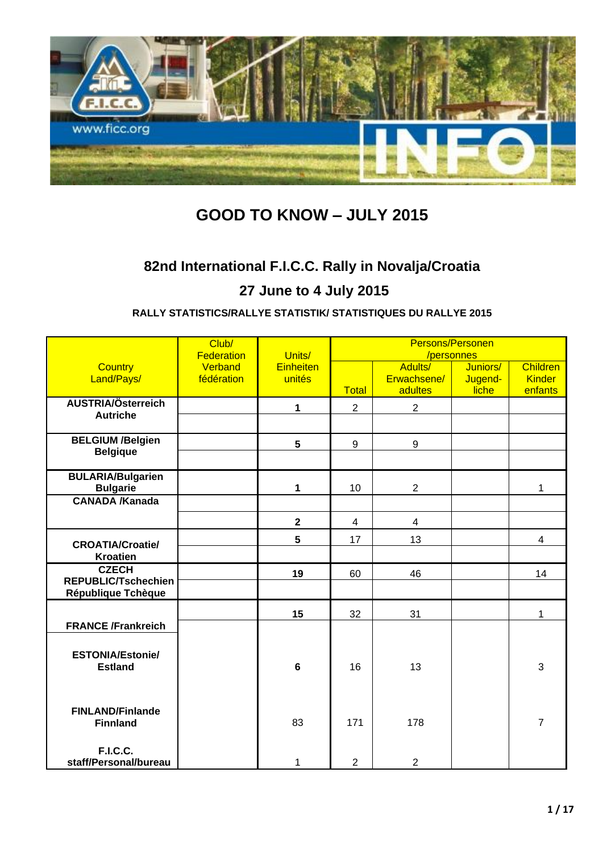

# **GOOD TO KNOW – JULY 2015**

# **82nd International F.I.C.C. Rally in Novalja/Croatia**

# **27 June to 4 July 2015**

### **RALLY STATISTICS/RALLYE STATISTIK/ STATISTIQUES DU RALLYE 2015**

|                                             | Club/<br><b>Federation</b> | Units/           | Persons/Personen<br>/personnes |                         |                  |                          |
|---------------------------------------------|----------------------------|------------------|--------------------------------|-------------------------|------------------|--------------------------|
| <b>Country</b>                              | Verband                    | <b>Einheiten</b> |                                | Adults/                 | Juniors/         | <b>Children</b>          |
| Land/Pays/                                  | fédération                 | unités           | <b>Total</b>                   | Erwachsene/<br>adultes  | Jugend-<br>liche | <b>Kinder</b><br>enfants |
| AUSTRIA/Österreich                          |                            | 1                | $\overline{2}$                 | $\overline{2}$          |                  |                          |
| <b>Autriche</b>                             |                            |                  |                                |                         |                  |                          |
| <b>BELGIUM /Belgien</b>                     |                            | $5\phantom{.0}$  | 9                              | 9                       |                  |                          |
| <b>Belgique</b>                             |                            |                  |                                |                         |                  |                          |
| <b>BULARIA/Bulgarien</b><br><b>Bulgarie</b> |                            | 1                | 10                             | $\overline{2}$          |                  | 1                        |
| <b>CANADA /Kanada</b>                       |                            |                  |                                |                         |                  |                          |
|                                             |                            | $\mathbf 2$      | $\overline{\mathbf{4}}$        | $\overline{\mathbf{4}}$ |                  |                          |
| <b>CROATIA/Croatie/</b>                     |                            | 5                | 17                             | 13                      |                  | $\overline{4}$           |
| <b>Kroatien</b>                             |                            |                  |                                |                         |                  |                          |
| <b>CZECH</b><br><b>REPUBLIC/Tschechien</b>  |                            | 19               | 60                             | 46                      |                  | 14                       |
| République Tchèque                          |                            |                  |                                |                         |                  |                          |
|                                             |                            | 15               | 32                             | 31                      |                  | $\mathbf{1}$             |
| <b>FRANCE /Frankreich</b>                   |                            |                  |                                |                         |                  |                          |
|                                             |                            |                  |                                |                         |                  |                          |
| <b>ESTONIA/Estonie/</b><br><b>Estland</b>   |                            | $6\phantom{a}$   | 16                             | 13                      |                  | 3                        |
|                                             |                            |                  |                                |                         |                  |                          |
|                                             |                            |                  |                                |                         |                  |                          |
| <b>FINLAND/Finlande</b><br><b>Finnland</b>  |                            | 83               | 171                            | 178                     |                  | $\overline{7}$           |
|                                             |                            |                  |                                |                         |                  |                          |
| <b>F.I.C.C.</b>                             |                            |                  |                                |                         |                  |                          |
| staff/Personal/bureau                       |                            | 1                | $\overline{2}$                 | $\overline{2}$          |                  |                          |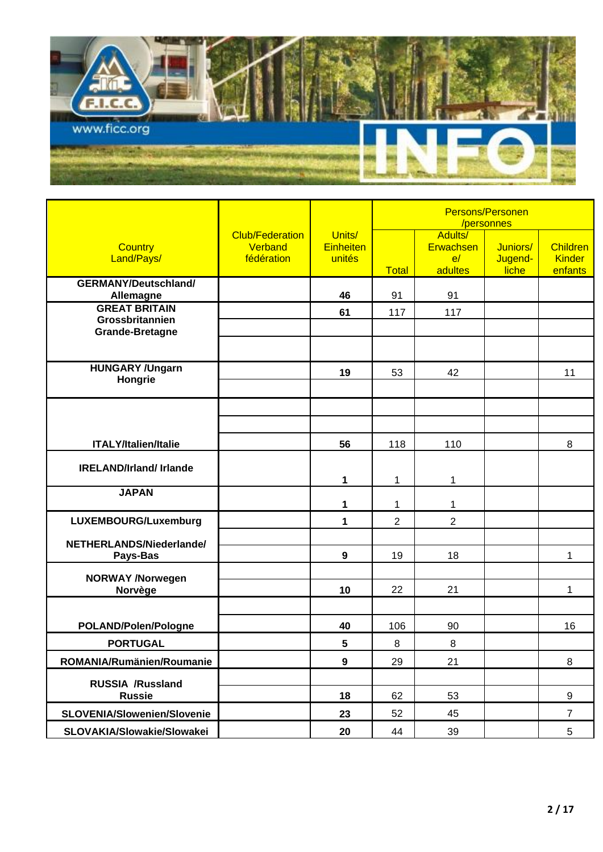

|                                           |                                                 |                                      | Persons/Personen<br>/personnes |                                       |                              |                                             |
|-------------------------------------------|-------------------------------------------------|--------------------------------------|--------------------------------|---------------------------------------|------------------------------|---------------------------------------------|
| <b>Country</b><br>Land/Pays/              | <b>Club/Federation</b><br>Verband<br>fédération | Units/<br><b>Einheiten</b><br>unités | <b>Total</b>                   | Adults/<br>Erwachsen<br>e/<br>adultes | Juniors/<br>Jugend-<br>liche | <b>Children</b><br><b>Kinder</b><br>enfants |
| <b>GERMANY/Deutschland/</b><br>Allemagne  |                                                 | 46                                   | 91                             | 91                                    |                              |                                             |
| <b>GREAT BRITAIN</b>                      |                                                 | 61                                   | 117                            | 117                                   |                              |                                             |
| Grossbritannien<br><b>Grande-Bretagne</b> |                                                 |                                      |                                |                                       |                              |                                             |
|                                           |                                                 |                                      |                                |                                       |                              |                                             |
| <b>HUNGARY /Ungarn</b>                    |                                                 | 19                                   | 53                             | 42                                    |                              | 11                                          |
| Hongrie                                   |                                                 |                                      |                                |                                       |                              |                                             |
|                                           |                                                 |                                      |                                |                                       |                              |                                             |
|                                           |                                                 |                                      |                                |                                       |                              |                                             |
| <b>ITALY/Italien/Italie</b>               |                                                 | 56                                   | 118                            | 110                                   |                              | 8                                           |
| <b>IRELAND/Irland/ Irlande</b>            |                                                 |                                      |                                |                                       |                              |                                             |
|                                           |                                                 | 1                                    | 1                              | 1                                     |                              |                                             |
| <b>JAPAN</b>                              |                                                 | 1                                    | 1                              | 1                                     |                              |                                             |
| LUXEMBOURG/Luxemburg                      |                                                 | 1                                    | $\overline{2}$                 | $\overline{2}$                        |                              |                                             |
| NETHERLANDS/Niederlande/                  |                                                 |                                      |                                |                                       |                              |                                             |
| Pays-Bas                                  |                                                 | 9                                    | 19                             | 18                                    |                              | 1                                           |
| <b>NORWAY /Norwegen</b>                   |                                                 |                                      |                                |                                       |                              |                                             |
| Norvège                                   |                                                 | 10                                   | 22                             | 21                                    |                              | 1                                           |
|                                           |                                                 |                                      |                                |                                       |                              |                                             |
| POLAND/Polen/Pologne                      |                                                 | 40                                   | 106                            | 90                                    |                              | 16                                          |
| <b>PORTUGAL</b>                           |                                                 | 5                                    | 8                              | 8                                     |                              |                                             |
| ROMANIA/Rumänien/Roumanie                 |                                                 | $\overline{9}$                       | 29                             | 21                                    |                              | 8                                           |
| RUSSIA /Russland<br><b>Russie</b>         |                                                 | 18                                   | 62                             | 53                                    |                              | 9                                           |
| <b>SLOVENIA/Slowenien/Slovenie</b>        |                                                 | 23                                   | 52                             | 45                                    |                              | $\overline{7}$                              |
| SLOVAKIA/Slowakie/Slowakei                |                                                 | 20                                   | 44                             | 39                                    |                              | $5\phantom{.0}$                             |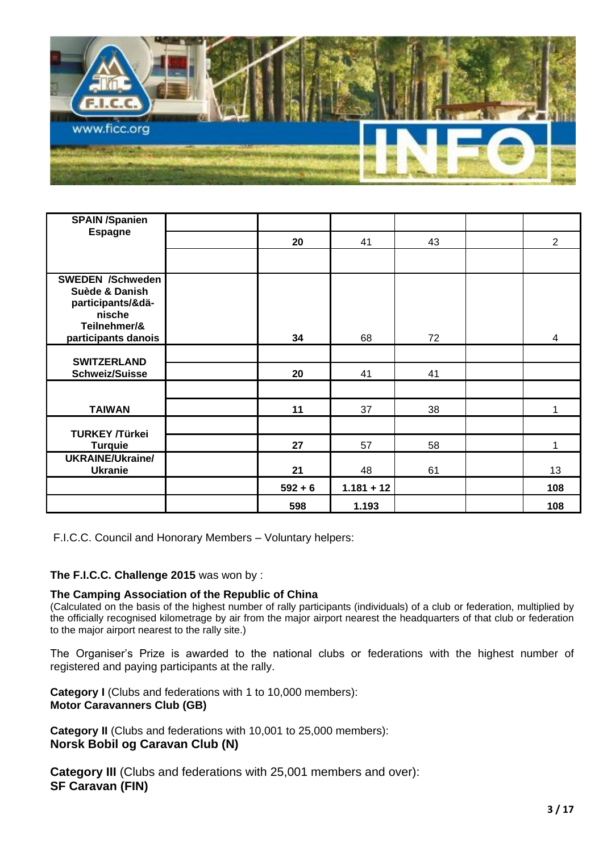

| <b>SPAIN /Spanien</b>                                                                                           |           |              |    |                |
|-----------------------------------------------------------------------------------------------------------------|-----------|--------------|----|----------------|
| <b>Espagne</b>                                                                                                  | 20        | 41           | 43 | $\overline{2}$ |
|                                                                                                                 |           |              |    |                |
| <b>SWEDEN /Schweden</b><br>Suède & Danish<br>participants/&dä-<br>nische<br>Teilnehmer/&<br>participants danois | 34        | 68           | 72 | 4              |
| <b>SWITZERLAND</b>                                                                                              |           |              |    |                |
| <b>Schweiz/Suisse</b>                                                                                           | 20        | 41           | 41 |                |
|                                                                                                                 |           |              |    |                |
| <b>TAIWAN</b>                                                                                                   | 11        | 37           | 38 | 1              |
| <b>TURKEY /Türkei</b>                                                                                           |           |              |    |                |
| <b>Turquie</b>                                                                                                  | 27        | 57           | 58 | 1              |
| <b>UKRAINE/Ukraine/</b><br><b>Ukranie</b>                                                                       | 21        | 48           | 61 | 13             |
|                                                                                                                 | $592 + 6$ | $1.181 + 12$ |    | 108            |
|                                                                                                                 | 598       | 1.193        |    | 108            |

F.I.C.C. Council and Honorary Members – Voluntary helpers:

**The F.I.C.C. Challenge 2015** was won by :

#### **The Camping Association of the Republic of China**

(Calculated on the basis of the highest number of rally participants (individuals) of a club or federation, multiplied by the officially recognised kilometrage by air from the major airport nearest the headquarters of that club or federation to the major airport nearest to the rally site.)

The Organiser's Prize is awarded to the national clubs or federations with the highest number of registered and paying participants at the rally.

**Category I** (Clubs and federations with 1 to 10,000 members): **Motor Caravanners Club (GB)**

**Category II** (Clubs and federations with 10,001 to 25,000 members): **Norsk Bobil og Caravan Club (N)**

**Category III** (Clubs and federations with 25,001 members and over): **SF Caravan (FIN)**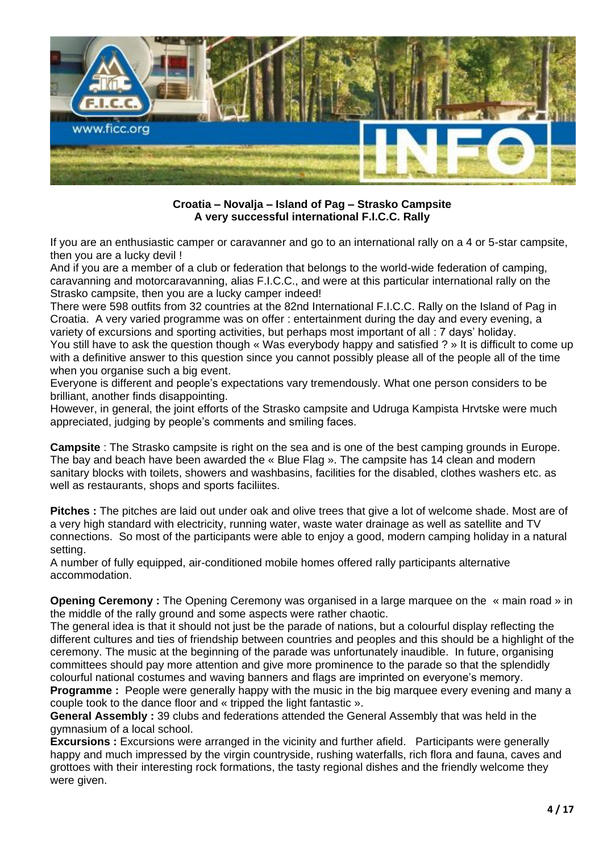

**Croatia – Novalja – Island of Pag – Strasko Campsite A very successful international F.I.C.C. Rally**

If you are an enthusiastic camper or caravanner and go to an international rally on a 4 or 5-star campsite, then you are a lucky devil !

And if you are a member of a club or federation that belongs to the world-wide federation of camping, caravanning and motorcaravanning, alias F.I.C.C., and were at this particular international rally on the Strasko campsite, then you are a lucky camper indeed!

There were 598 outfits from 32 countries at the 82nd International F.I.C.C. Rally on the Island of Pag in Croatia. A very varied programme was on offer : entertainment during the day and every evening, a variety of excursions and sporting activities, but perhaps most important of all : 7 days' holiday.

You still have to ask the question though « Was everybody happy and satisfied ? » It is difficult to come up with a definitive answer to this question since you cannot possibly please all of the people all of the time when you organise such a big event.

Everyone is different and people's expectations vary tremendously. What one person considers to be brilliant, another finds disappointing.

However, in general, the joint efforts of the Strasko campsite and Udruga Kampista Hrvtske were much appreciated, judging by people's comments and smiling faces.

**Campsite** : The Strasko campsite is right on the sea and is one of the best camping grounds in Europe. The bay and beach have been awarded the « Blue Flag ». The campsite has 14 clean and modern sanitary blocks with toilets, showers and washbasins, facilities for the disabled, clothes washers etc. as well as restaurants, shops and sports faciliites.

**Pitches :** The pitches are laid out under oak and olive trees that give a lot of welcome shade. Most are of a very high standard with electricity, running water, waste water drainage as well as satellite and TV connections. So most of the participants were able to enjoy a good, modern camping holiday in a natural setting.

A number of fully equipped, air-conditioned mobile homes offered rally participants alternative accommodation.

**Opening Ceremony :** The Opening Ceremony was organised in a large marquee on the « main road » in the middle of the rally ground and some aspects were rather chaotic.

The general idea is that it should not just be the parade of nations, but a colourful display reflecting the different cultures and ties of friendship between countries and peoples and this should be a highlight of the ceremony. The music at the beginning of the parade was unfortunately inaudible. In future, organising committees should pay more attention and give more prominence to the parade so that the splendidly colourful national costumes and waving banners and flags are imprinted on everyone's memory.

**Programme** : People were generally happy with the music in the big marquee every evening and many a couple took to the dance floor and « tripped the light fantastic ».

**General Assembly :** 39 clubs and federations attended the General Assembly that was held in the gymnasium of a local school.

**Excursions :** Excursions were arranged in the vicinity and further afield. Participants were generally happy and much impressed by the virgin countryside, rushing waterfalls, rich flora and fauna, caves and grottoes with their interesting rock formations, the tasty regional dishes and the friendly welcome they were given.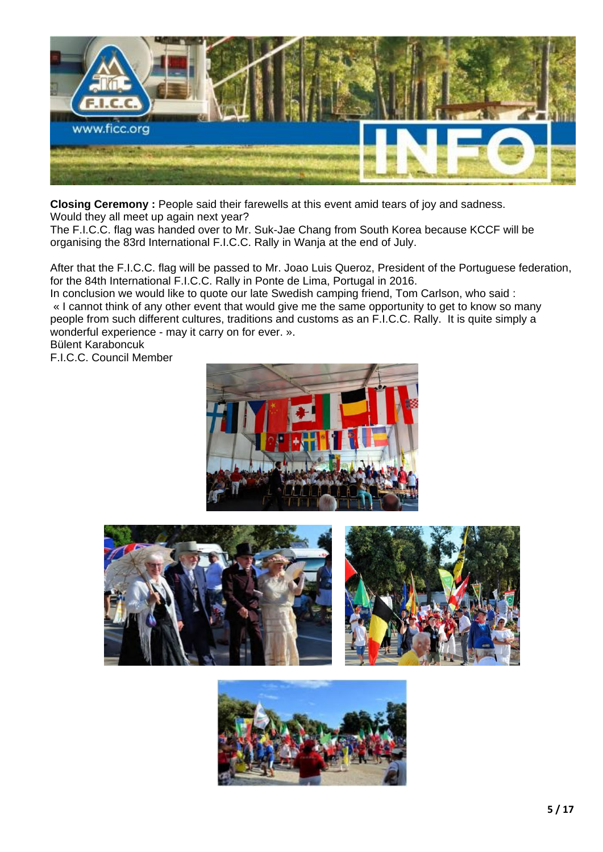

**Closing Ceremony :** People said their farewells at this event amid tears of joy and sadness.

Would they all meet up again next year? The F.I.C.C. flag was handed over to Mr. Suk-Jae Chang from South Korea because KCCF will be

organising the 83rd International F.I.C.C. Rally in Wanja at the end of July.

After that the F.I.C.C. flag will be passed to Mr. Joao Luis Queroz, President of the Portuguese federation, for the 84th International F.I.C.C. Rally in Ponte de Lima, Portugal in 2016.

In conclusion we would like to quote our late Swedish camping friend, Tom Carlson, who said : « I cannot think of any other event that would give me the same opportunity to get to know so many people from such different cultures, traditions and customs as an F.I.C.C. Rally. It is quite simply a wonderful experience - may it carry on for ever. ».

Bülent Karaboncuk F.I.C.C. Council Member





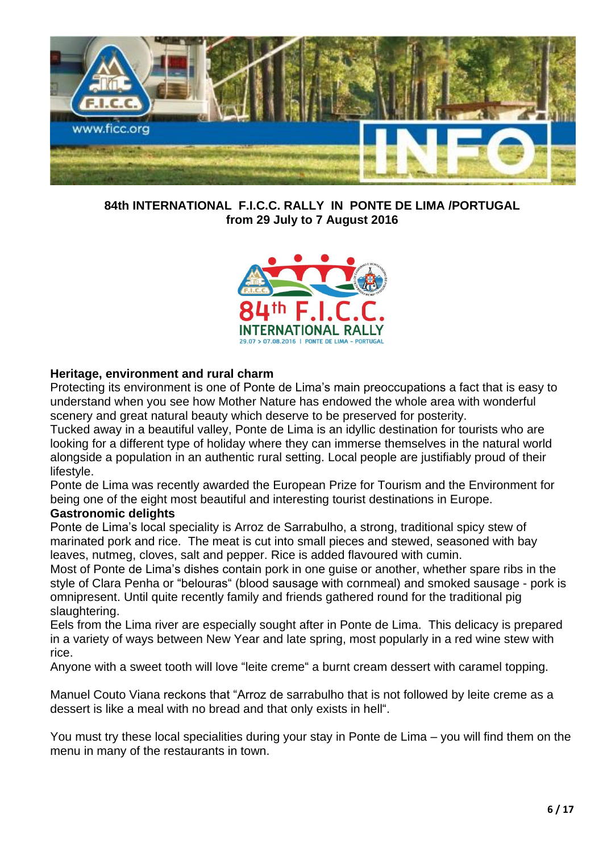

**84th INTERNATIONAL F.I.C.C. RALLY IN PONTE DE LIMA /PORTUGAL from 29 July to 7 August 2016**



### **Heritage, environment and rural charm**

Protecting its environment is one of Ponte de Lima's main preoccupations a fact that is easy to understand when you see how Mother Nature has endowed the whole area with wonderful scenery and great natural beauty which deserve to be preserved for posterity.

Tucked away in a beautiful valley, Ponte de Lima is an idyllic destination for tourists who are looking for a different type of holiday where they can immerse themselves in the natural world alongside a population in an authentic rural setting. Local people are justifiably proud of their lifestyle.

Ponte de Lima was recently awarded the European Prize for Tourism and the Environment for being one of the eight most beautiful and interesting tourist destinations in Europe.

### **Gastronomic delights**

Ponte de Lima's local speciality is Arroz de Sarrabulho, a strong, traditional spicy stew of marinated pork and rice. The meat is cut into small pieces and stewed, seasoned with bay leaves, nutmeg, cloves, salt and pepper. Rice is added flavoured with cumin.

Most of Ponte de Lima's dishes contain pork in one guise or another, whether spare ribs in the style of Clara Penha or "belouras" (blood sausage with cornmeal) and smoked sausage - pork is omnipresent. Until quite recently family and friends gathered round for the traditional pig slaughtering.

Eels from the Lima river are especially sought after in Ponte de Lima. This delicacy is prepared in a variety of ways between New Year and late spring, most popularly in a red wine stew with rice.

Anyone with a sweet tooth will love "leite creme" a burnt cream dessert with caramel topping.

Manuel Couto Viana reckons that "Arroz de sarrabulho that is not followed by leite creme as a dessert is like a meal with no bread and that only exists in hell".

You must try these local specialities during your stay in Ponte de Lima – you will find them on the menu in many of the restaurants in town.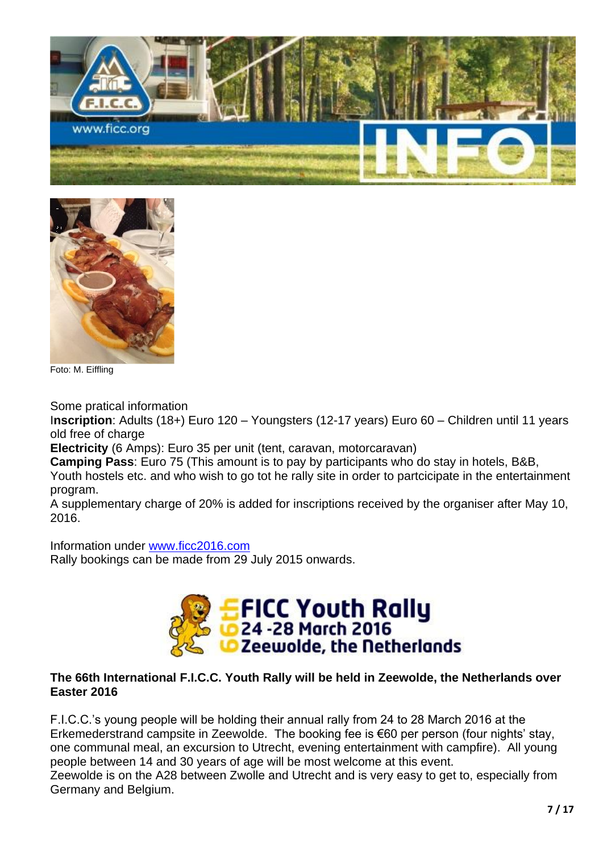



Foto: M. Eiffling

Some pratical information

I**nscription**: Adults (18+) Euro 120 – Youngsters (12-17 years) Euro 60 – Children until 11 years old free of charge

**Electricity** (6 Amps): Euro 35 per unit (tent, caravan, motorcaravan)

**Camping Pass**: Euro 75 (This amount is to pay by participants who do stay in hotels, B&B,

Youth hostels etc. and who wish to go tot he rally site in order to partcicipate in the entertainment program.

A supplementary charge of 20% is added for inscriptions received by the organiser after May 10, 2016.

Information under [www.ficc2016.com](http://www.ficc2016.com/) Rally bookings can be made from 29 July 2015 onwards.



### **The 66th International F.I.C.C. Youth Rally will be held in Zeewolde, the Netherlands over Easter 2016**

F.I.C.C.'s young people will be holding their annual rally from 24 to 28 March 2016 at the Erkemederstrand campsite in Zeewolde. The booking fee is €60 per person (four nights' stay, one communal meal, an excursion to Utrecht, evening entertainment with campfire). All young people between 14 and 30 years of age will be most welcome at this event. Zeewolde is on the A28 between Zwolle and Utrecht and is very easy to get to, especially from Germany and Belgium.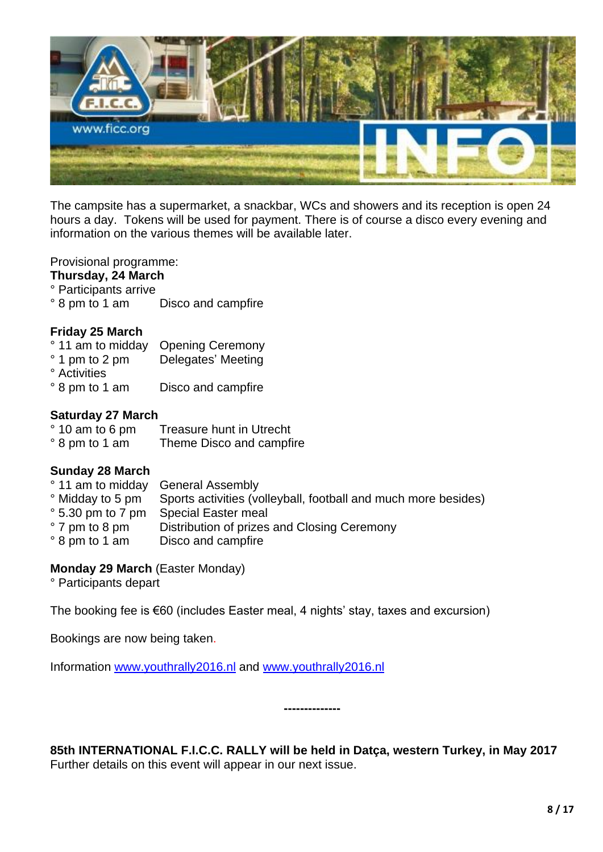

The campsite has a supermarket, a snackbar, WCs and showers and its reception is open 24 hours a day. Tokens will be used for payment. There is of course a disco every evening and information on the various themes will be available later.

Provisional programme:

#### **Thursday, 24 March**

- ° Participants arrive
- ° 8 pm to 1 am Disco and campfire

#### **Friday 25 March**

- ° 11 am to midday Opening Ceremony
- ° 1 pm to 2 pm Delegates' Meeting
- ° Activities
- ° 8 pm to 1 am Disco and campfire

#### **Saturday 27 March**

| ° 10 am to 6 pm | Treasure hunt in Utrecht |
|-----------------|--------------------------|
| ° 8 pm to 1 am  | Theme Disco and campfire |

#### **Sunday 28 March**

|                           | ° 11 am to midday General Assembly                             |
|---------------------------|----------------------------------------------------------------|
| ° Midday to 5 pm          | Sports activities (volleyball, football and much more besides) |
| $\degree$ 5.30 pm to 7 pm | Special Easter meal                                            |
| $\degree$ 7 pm to 8 pm    | Distribution of prizes and Closing Ceremony                    |
| ° 8 pm to 1 am            | Disco and campfire                                             |

### **Monday 29 March** (Easter Monday)

° Participants depart

The booking fee is €60 (includes Easter meal, 4 nights' stay, taxes and excursion)

Bookings are now being taken.

Information [www.youthrally2016.nl](http://www.youthrally2016.nl/) and [www.youthrally2016.nl](http://www.youthrally2016.nl/)

**85th INTERNATIONAL F.I.C.C. RALLY will be held in Datça, western Turkey, in May 2017** Further details on this event will appear in our next issue.

**--------------**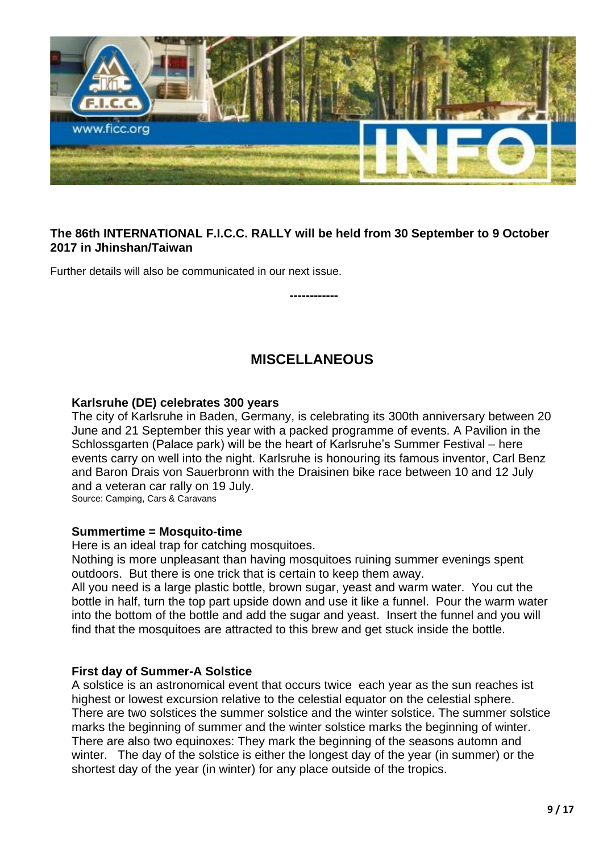

### **The 86th INTERNATIONAL F.I.C.C. RALLY will be held from 30 September to 9 October 2017 in Jhinshan/Taiwan**

Further details will also be communicated in our next issue.

## **MISCELLANEOUS**

**------------**

### **Karlsruhe (DE) celebrates 300 years**

The city of Karlsruhe in Baden, Germany, is celebrating its 300th anniversary between 20 June and 21 September this year with a packed programme of events. A Pavilion in the Schlossgarten (Palace park) will be the heart of Karlsruhe's Summer Festival – here events carry on well into the night. Karlsruhe is honouring its famous inventor, Carl Benz and Baron Drais von Sauerbronn with the Draisinen bike race between 10 and 12 July and a veteran car rally on 19 July.

Source: Camping, Cars & Caravans

### **Summertime = Mosquito-time**

Here is an ideal trap for catching mosquitoes.

Nothing is more unpleasant than having mosquitoes ruining summer evenings spent outdoors. But there is one trick that is certain to keep them away.

All you need is a large plastic bottle, brown sugar, yeast and warm water. You cut the bottle in half, turn the top part upside down and use it like a funnel. Pour the warm water into the bottom of the bottle and add the sugar and yeast. Insert the funnel and you will find that the mosquitoes are attracted to this brew and get stuck inside the bottle.

### **First day of Summer-A Solstice**

A solstice is an astronomical event that occurs twice each year as the sun reaches ist highest or lowest excursion relative to the celestial equator on the celestial sphere. There are two solstices the summer solstice and the winter solstice. The summer solstice marks the beginning of summer and the winter solstice marks the beginning of winter. There are also two equinoxes: They mark the beginning of the seasons automn and winter. The day of the solstice is either the longest day of the year (in summer) or the shortest day of the year (in winter) for any place outside of the tropics.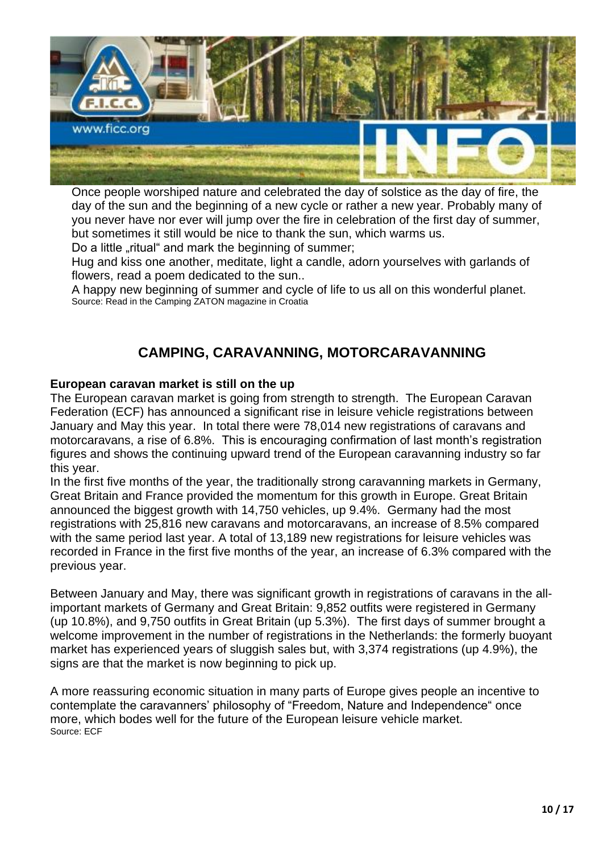

Once people worshiped nature and celebrated the day of solstice as the day of fire, the day of the sun and the beginning of a new cycle or rather a new year. Probably many of you never have nor ever will jump over the fire in celebration of the first day of summer, but sometimes it still would be nice to thank the sun, which warms us.

Do a little "ritual" and mark the beginning of summer;

Hug and kiss one another, meditate, light a candle, adorn yourselves with garlands of flowers, read a poem dedicated to the sun..

A happy new beginning of summer and cycle of life to us all on this wonderful planet. Source: Read in the Camping ZATON magazine in Croatia

# **CAMPING, CARAVANNING, MOTORCARAVANNING**

### **European caravan market is still on the up**

The European caravan market is going from strength to strength. The European Caravan Federation (ECF) has announced a significant rise in leisure vehicle registrations between January and May this year. In total there were 78,014 new registrations of caravans and motorcaravans, a rise of 6.8%. This is encouraging confirmation of last month's registration figures and shows the continuing upward trend of the European caravanning industry so far this year.

In the first five months of the year, the traditionally strong caravanning markets in Germany, Great Britain and France provided the momentum for this growth in Europe. Great Britain announced the biggest growth with 14,750 vehicles, up 9.4%. Germany had the most registrations with 25,816 new caravans and motorcaravans, an increase of 8.5% compared with the same period last year. A total of 13,189 new registrations for leisure vehicles was recorded in France in the first five months of the year, an increase of 6.3% compared with the previous year.

Between January and May, there was significant growth in registrations of caravans in the allimportant markets of Germany and Great Britain: 9,852 outfits were registered in Germany (up 10.8%), and 9,750 outfits in Great Britain (up 5.3%). The first days of summer brought a welcome improvement in the number of registrations in the Netherlands: the formerly buoyant market has experienced years of sluggish sales but, with 3,374 registrations (up 4.9%), the signs are that the market is now beginning to pick up.

A more reassuring economic situation in many parts of Europe gives people an incentive to contemplate the caravanners' philosophy of "Freedom, Nature and Independence" once more, which bodes well for the future of the European leisure vehicle market. Source: ECF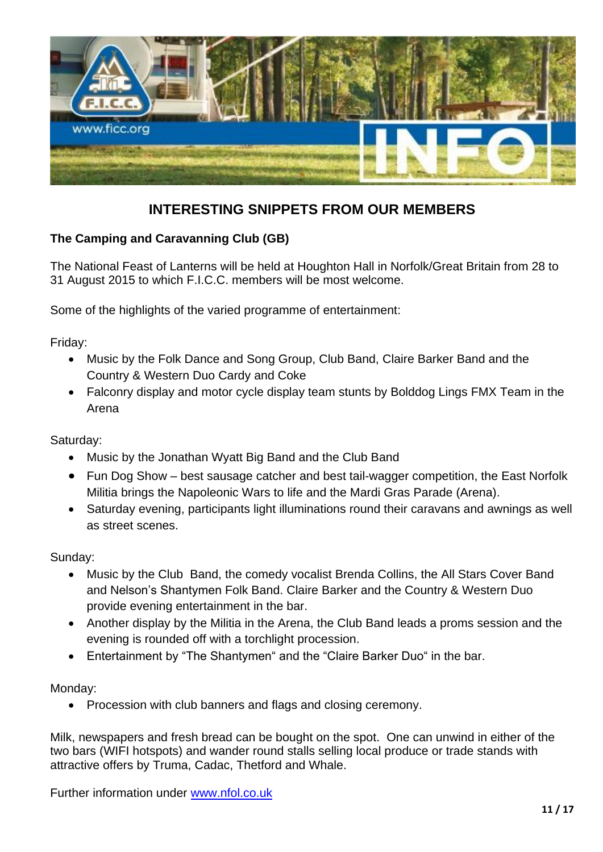

# **INTERESTING SNIPPETS FROM OUR MEMBERS**

### **The Camping and Caravanning Club (GB)**

The National Feast of Lanterns will be held at Houghton Hall in Norfolk/Great Britain from 28 to 31 August 2015 to which F.I.C.C. members will be most welcome.

Some of the highlights of the varied programme of entertainment:

Friday:

- Music by the Folk Dance and Song Group, Club Band, Claire Barker Band and the Country & Western Duo Cardy and Coke
- Falconry display and motor cycle display team stunts by Bolddog Lings FMX Team in the Arena

Saturday:

- Music by the Jonathan Wyatt Big Band and the Club Band
- Fun Dog Show best sausage catcher and best tail-wagger competition, the East Norfolk Militia brings the Napoleonic Wars to life and the Mardi Gras Parade (Arena).
- Saturday evening, participants light illuminations round their caravans and awnings as well as street scenes.

Sunday:

- Music by the Club Band, the comedy vocalist Brenda Collins, the All Stars Cover Band and Nelson's Shantymen Folk Band. Claire Barker and the Country & Western Duo provide evening entertainment in the bar.
- Another display by the Militia in the Arena, the Club Band leads a proms session and the evening is rounded off with a torchlight procession.
- Entertainment by "The Shantymen" and the "Claire Barker Duo" in the bar.

Monday:

• Procession with club banners and flags and closing ceremony.

Milk, newspapers and fresh bread can be bought on the spot. One can unwind in either of the two bars (WIFI hotspots) and wander round stalls selling local produce or trade stands with attractive offers by Truma, Cadac, Thetford and Whale.

Further information under [www.nfol.co.uk](http://www.nfol.co.uk/)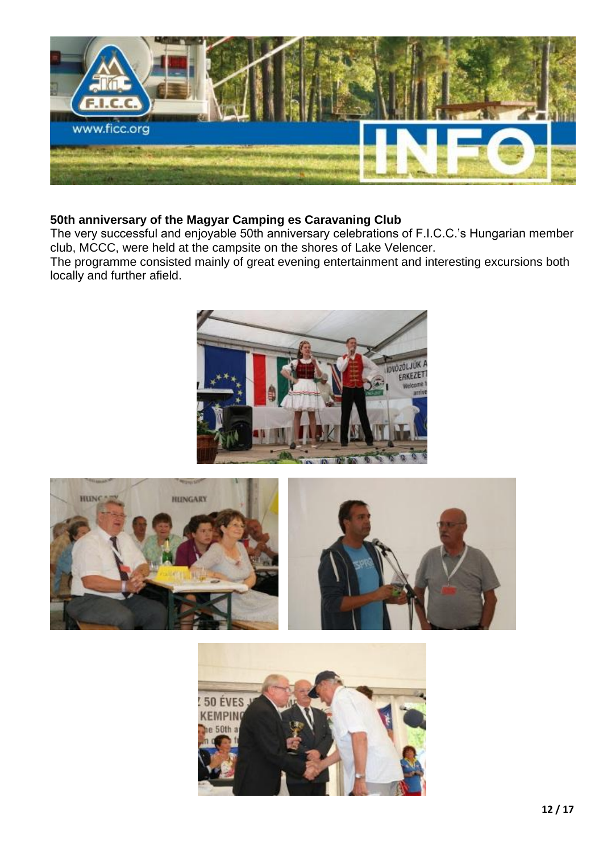![](_page_11_Picture_0.jpeg)

### **50th anniversary of the Magyar Camping es Caravaning Club**

The very successful and enjoyable 50th anniversary celebrations of F.I.C.C.'s Hungarian member club, MCCC, were held at the campsite on the shores of Lake Velencer.

The programme consisted mainly of great evening entertainment and interesting excursions both locally and further afield.

![](_page_11_Picture_4.jpeg)

![](_page_11_Picture_5.jpeg)

![](_page_11_Picture_6.jpeg)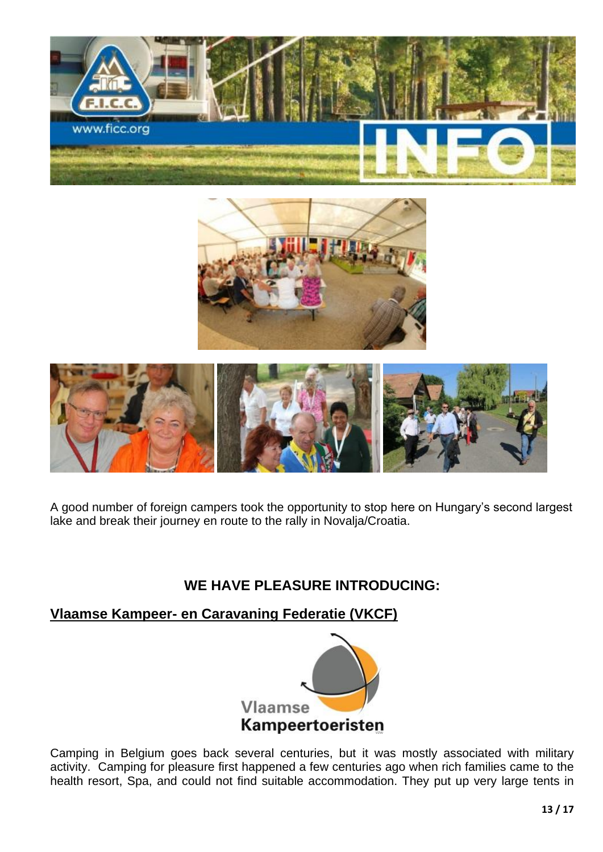![](_page_12_Picture_0.jpeg)

![](_page_12_Picture_1.jpeg)

![](_page_12_Picture_2.jpeg)

A good number of foreign campers took the opportunity to stop here on Hungary's second largest lake and break their journey en route to the rally in Novalja/Croatia.

## **WE HAVE PLEASURE INTRODUCING:**

**Vlaamse Kampeer- en Caravaning Federatie (VKCF)**

![](_page_12_Picture_6.jpeg)

Camping in Belgium goes back several centuries, but it was mostly associated with military activity. Camping for pleasure first happened a few centuries ago when rich families came to the health resort, Spa, and could not find suitable accommodation. They put up very large tents in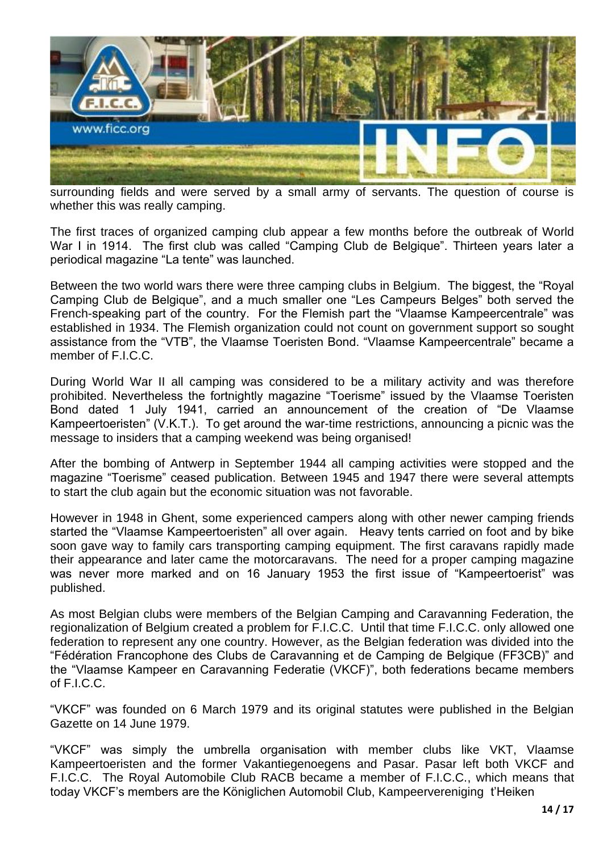![](_page_13_Picture_0.jpeg)

surrounding fields and were served by a small army of servants. The question of course is whether this was really camping.

The first traces of organized camping club appear a few months before the outbreak of World War I in 1914. The first club was called "Camping Club de Belgique". Thirteen years later a periodical magazine "La tente" was launched.

Between the two world wars there were three camping clubs in Belgium. The biggest, the "Royal Camping Club de Belgique", and a much smaller one "Les Campeurs Belges" both served the French-speaking part of the country. For the Flemish part the "Vlaamse Kampeercentrale" was established in 1934. The Flemish organization could not count on government support so sought assistance from the "VTB", the Vlaamse Toeristen Bond. "Vlaamse Kampeercentrale" became a member of F.I.C.C.

During World War II all camping was considered to be a military activity and was therefore prohibited. Nevertheless the fortnightly magazine "Toerisme" issued by the Vlaamse Toeristen Bond dated 1 July 1941, carried an announcement of the creation of "De Vlaamse Kampeertoeristen" (V.K.T.). To get around the war-time restrictions, announcing a picnic was the message to insiders that a camping weekend was being organised!

After the bombing of Antwerp in September 1944 all camping activities were stopped and the magazine "Toerisme" ceased publication. Between 1945 and 1947 there were several attempts to start the club again but the economic situation was not favorable.

However in 1948 in Ghent, some experienced campers along with other newer camping friends started the "Vlaamse Kampeertoeristen" all over again. Heavy tents carried on foot and by bike soon gave way to family cars transporting camping equipment. The first caravans rapidly made their appearance and later came the motorcaravans. The need for a proper camping magazine was never more marked and on 16 January 1953 the first issue of "Kampeertoerist" was published.

As most Belgian clubs were members of the Belgian Camping and Caravanning Federation, the regionalization of Belgium created a problem for F.I.C.C. Until that time F.I.C.C. only allowed one federation to represent any one country. However, as the Belgian federation was divided into the "Fédération Francophone des Clubs de Caravanning et de Camping de Belgique (FF3CB)" and the "Vlaamse Kampeer en Caravanning Federatie (VKCF)", both federations became members of F.I.C.C.

"VKCF" was founded on 6 March 1979 and its original statutes were published in the Belgian Gazette on 14 June 1979.

"VKCF" was simply the umbrella organisation with member clubs like VKT, Vlaamse Kampeertoeristen and the former Vakantiegenoegens and Pasar. Pasar left both VKCF and F.I.C.C. The Royal Automobile Club RACB became a member of F.I.C.C., which means that today VKCF's members are the Königlichen Automobil Club, Kampeervereniging t'Heiken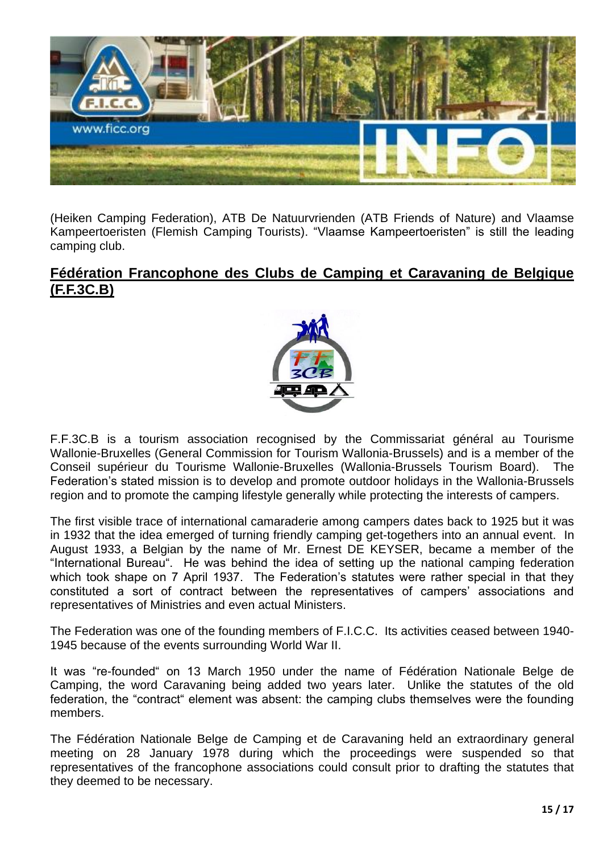![](_page_14_Picture_0.jpeg)

(Heiken Camping Federation), ATB De Natuurvrienden (ATB Friends of Nature) and Vlaamse Kampeertoeristen (Flemish Camping Tourists). "Vlaamse Kampeertoeristen" is still the leading camping club.

### **Fédération Francophone des Clubs de Camping et Caravaning de Belgique (F.F.3C.B)**

![](_page_14_Picture_3.jpeg)

F.F.3C.B is a tourism association recognised by the Commissariat général au Tourisme Wallonie-Bruxelles (General Commission for Tourism Wallonia-Brussels) and is a member of the Conseil supérieur du Tourisme Wallonie-Bruxelles (Wallonia-Brussels Tourism Board). The Federation's stated mission is to develop and promote outdoor holidays in the Wallonia-Brussels region and to promote the camping lifestyle generally while protecting the interests of campers.

The first visible trace of international camaraderie among campers dates back to 1925 but it was in 1932 that the idea emerged of turning friendly camping get-togethers into an annual event. In August 1933, a Belgian by the name of Mr. Ernest DE KEYSER, became a member of the "International Bureau". He was behind the idea of setting up the national camping federation which took shape on 7 April 1937. The Federation's statutes were rather special in that they constituted a sort of contract between the representatives of campers' associations and representatives of Ministries and even actual Ministers.

The Federation was one of the founding members of F.I.C.C. Its activities ceased between 1940- 1945 because of the events surrounding World War II.

It was "re-founded" on 13 March 1950 under the name of Fédération Nationale Belge de Camping, the word Caravaning being added two years later. Unlike the statutes of the old federation, the "contract" element was absent: the camping clubs themselves were the founding members.

The Fédération Nationale Belge de Camping et de Caravaning held an extraordinary general meeting on 28 January 1978 during which the proceedings were suspended so that representatives of the francophone associations could consult prior to drafting the statutes that they deemed to be necessary.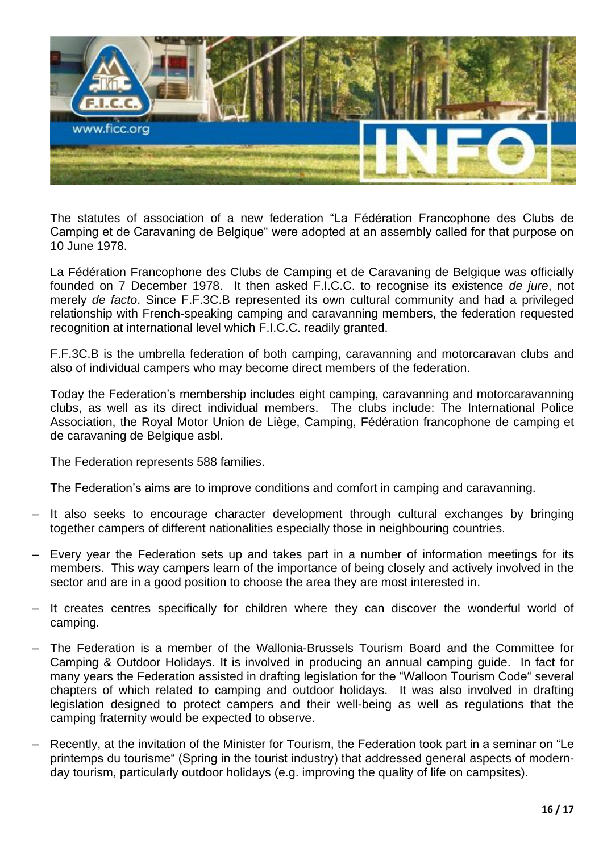![](_page_15_Picture_0.jpeg)

The statutes of association of a new federation "La Fédération Francophone des Clubs de Camping et de Caravaning de Belgique" were adopted at an assembly called for that purpose on 10 June 1978.

La Fédération Francophone des Clubs de Camping et de Caravaning de Belgique was officially founded on 7 December 1978. It then asked F.I.C.C. to recognise its existence *de jure*, not merely *de facto*. Since F.F.3C.B represented its own cultural community and had a privileged relationship with French-speaking camping and caravanning members, the federation requested recognition at international level which F.I.C.C. readily granted.

F.F.3C.B is the umbrella federation of both camping, caravanning and motorcaravan clubs and also of individual campers who may become direct members of the federation.

Today the Federation's membership includes eight camping, caravanning and motorcaravanning clubs, as well as its direct individual members. The clubs include: The International Police Association, the Royal Motor Union de Liège, Camping, Fédération francophone de camping et de caravaning de Belgique asbl.

The Federation represents 588 families.

The Federation's aims are to improve conditions and comfort in camping and caravanning.

- It also seeks to encourage character development through cultural exchanges by bringing together campers of different nationalities especially those in neighbouring countries.
- Every year the Federation sets up and takes part in a number of information meetings for its members. This way campers learn of the importance of being closely and actively involved in the sector and are in a good position to choose the area they are most interested in.
- It creates centres specifically for children where they can discover the wonderful world of camping.
- The Federation is a member of the Wallonia-Brussels Tourism Board and the Committee for Camping & Outdoor Holidays. It is involved in producing an annual camping guide. In fact for many years the Federation assisted in drafting legislation for the "Walloon Tourism Code" several chapters of which related to camping and outdoor holidays. It was also involved in drafting legislation designed to protect campers and their well-being as well as regulations that the camping fraternity would be expected to observe.
- Recently, at the invitation of the Minister for Tourism, the Federation took part in a seminar on "Le printemps du tourisme" (Spring in the tourist industry) that addressed general aspects of modernday tourism, particularly outdoor holidays (e.g. improving the quality of life on campsites).